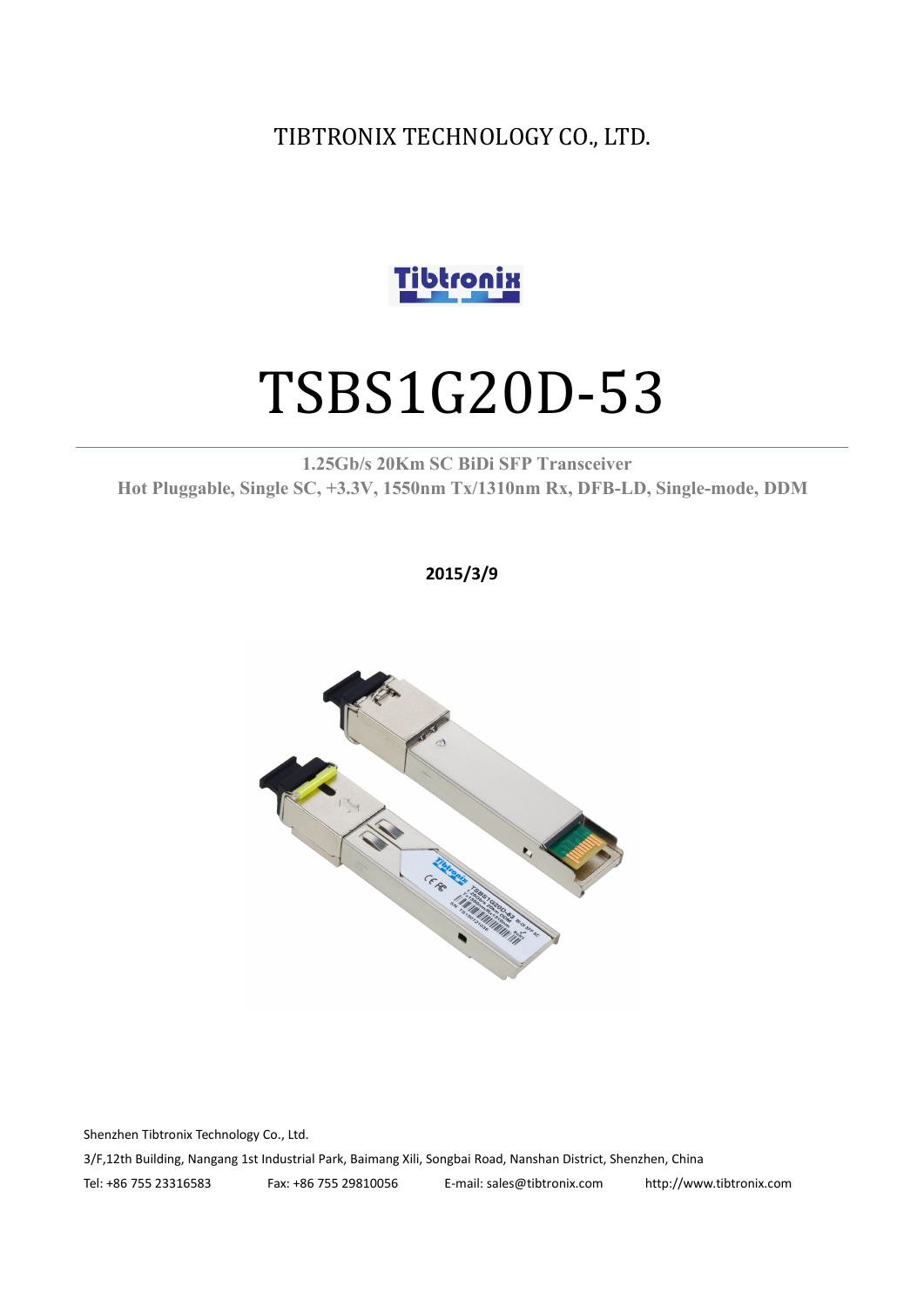TIBTRONIX TECHNOLOGY CO., LTD.



# TSBS1G20D-53

**1.25Gb/s 20Km SC BiDi SFP Transceiver Hot Pluggable, Single SC, +3.3V, 1550nm Tx/1310nm Rx, DFB-LD,Single-mode, DDM**

**2015/3/9**



Shenzhen Tibtronix Technology Co., Ltd. 3/F,12th Building, Nangang 1st Industrial Park, Baimang Xili, Songbai Road, Nanshan District, Shenzhen, China Tel: +86 755 23316583 Fax: +86 755 29810056 E-mail: sales@tibtronix.com http://www.tibtronix.com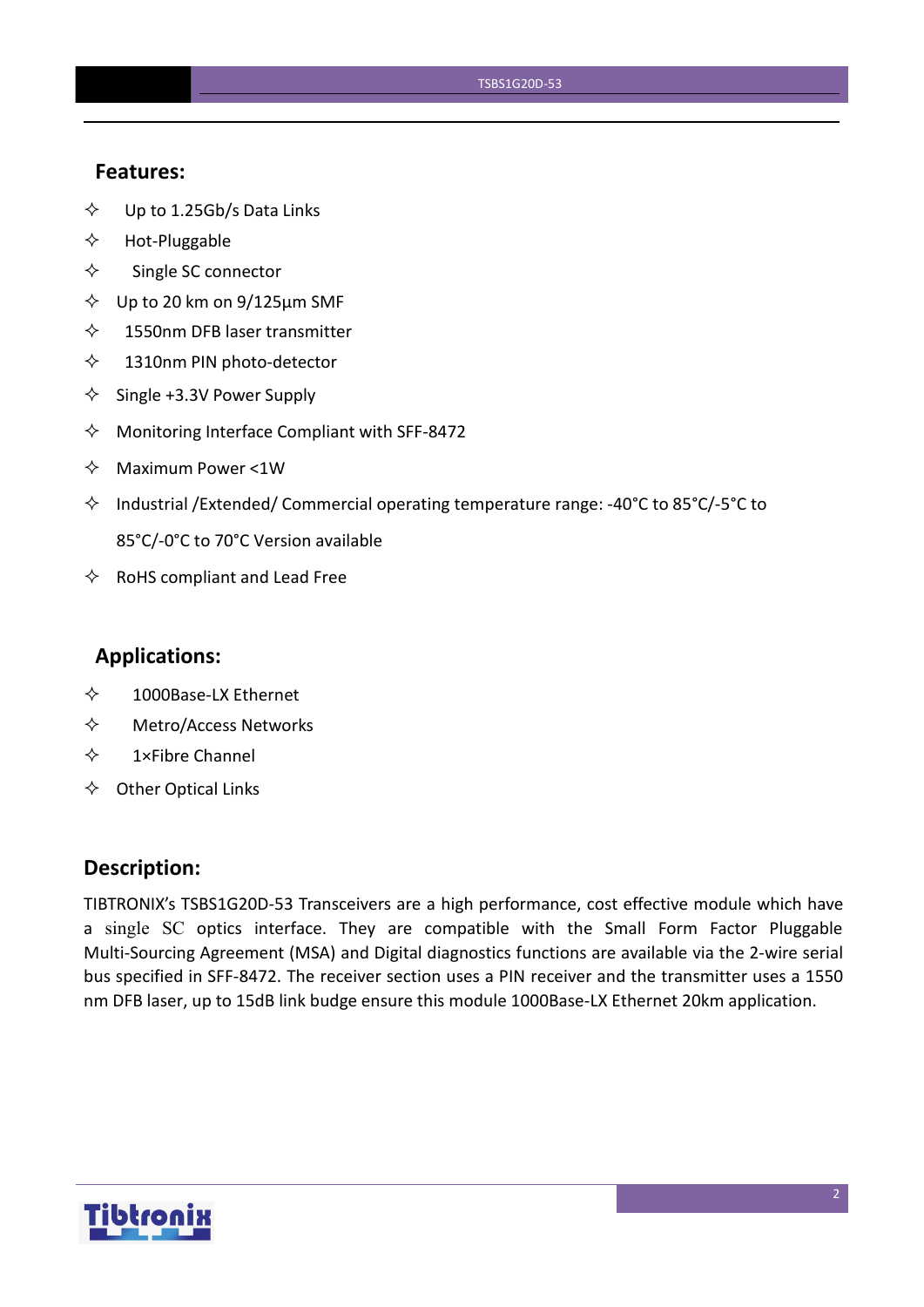#### **Features:**

- $\diamond$  Up to 1.25Gb/s Data Links
- $\Leftrightarrow$  Hot-Pluggable
- $\Leftrightarrow$  Single SC connector
- $\diamond$  Up to 20 km on 9/125 µm SMF
- $\diamond$  1550nm DFB laser transmitter
- $\diamond$  1310nm PIN photo-detector
- $\diamond$  Single +3.3V Power Supply
- $\Diamond$  Monitoring Interface Compliant with SFF-8472
- $\Leftrightarrow$  Maximum Power <1W
- $\Diamond$  Industrial /Extended/ Commercial operating temperature range: -40°C to 85°C/-5°C to 85°C/-0°C to 70°C Version available
- $\Leftrightarrow$  RoHS compliant and Lead Free

#### **Applications:**

- 1000Base-LX Ethernet
- Metro/Access Networks
- $\diamond$  1×Fibre Channel
- $\Leftrightarrow$  Other Optical Links

#### **Description:**

TIBTRONIX's TSBS1G20D-53 Transceivers are a high performance, cost effective module which have a single SC optics interface. They are compatible with the Small Form Factor Pluggable Multi-Sourcing Agreement (MSA) and Digital diagnostics functions are available via the 2-wire serial bus specified in SFF-8472. The receiver section uses a PIN receiver and the transmitter uses a 1550 nm DFB laser, up to 15dB link budge ensure this module 1000Base-LX Ethernet 20km application.

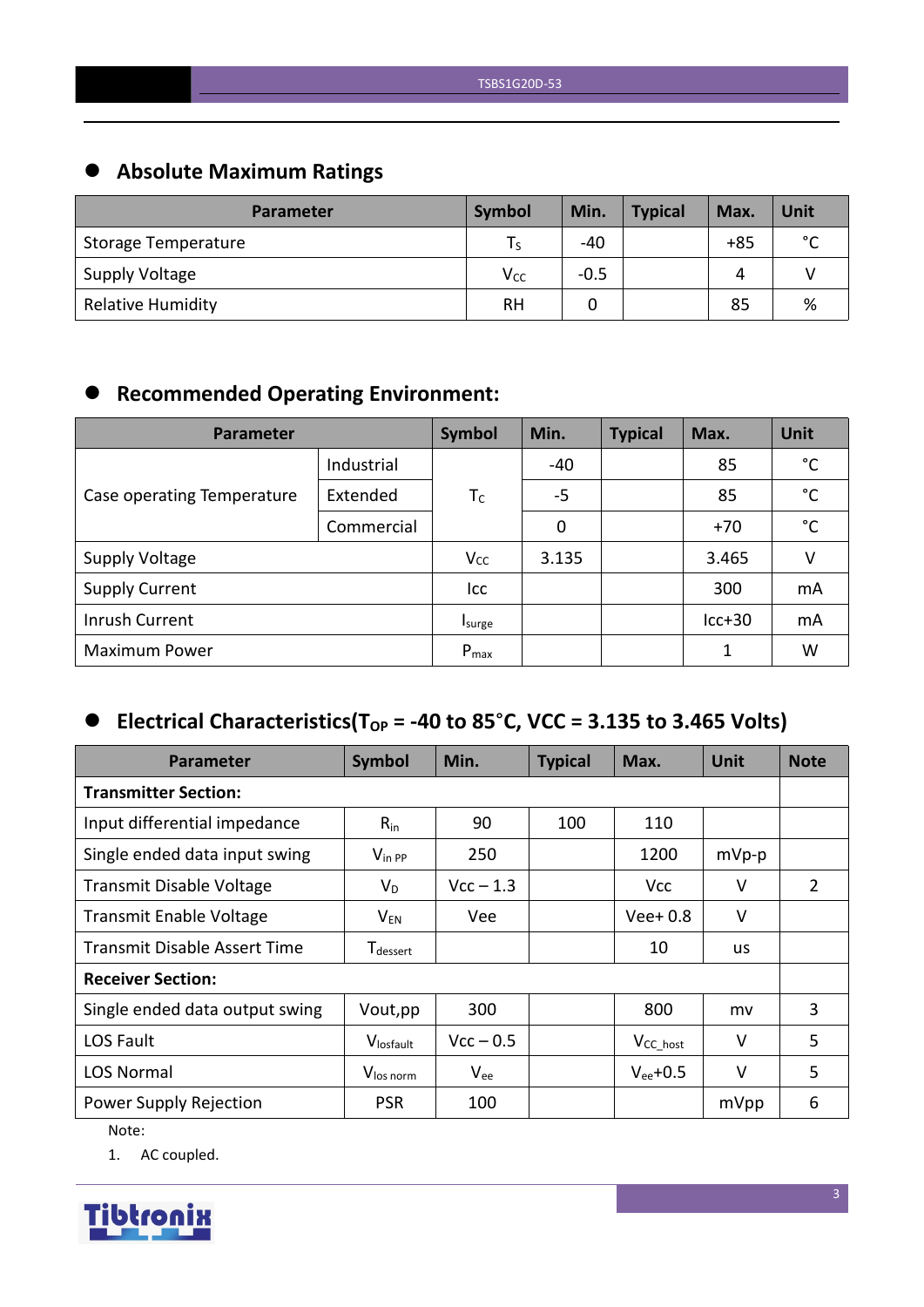# **Absolute Maximum Ratings**

| <b>Parameter</b>         | Symbol   | Min.   | <b>Typical</b> | Max.  | Unit        |
|--------------------------|----------|--------|----------------|-------|-------------|
| Storage Temperature      | l S      | -40    |                | $+85$ | $\sim$<br>◡ |
| Supply Voltage           | $V_{CC}$ | $-0.5$ |                | 4     |             |
| <b>Relative Humidity</b> | RH       |        |                | 85    | %           |

# **Recommended Operating Environment:**

| <b>Parameter</b>           | Symbol     | Min.      | <b>Typical</b> | Max. | Unit     |    |
|----------------------------|------------|-----------|----------------|------|----------|----|
|                            | Industrial |           | $-40$          |      | 85       | °C |
| Case operating Temperature | Extended   | $T_c$     | $-5$           |      | 85       | °C |
|                            | Commercial |           | 0              |      | $+70$    | °C |
| <b>Supply Voltage</b>      |            | $V_{CC}$  | 3.135          |      | 3.465    | V  |
| <b>Supply Current</b>      |            | Icc       |                |      | 300      | mA |
| Inrush Current             |            | Isurge    |                |      | $lcc+30$ | mA |
| <b>Maximum Power</b>       |            | $P_{max}$ |                |      | 1        | W  |

## $\bullet$  Electrical Characteristics(T<sub>OP</sub> = -40 to 85°C, VCC = 3.135 to 3.465 Volts)

| <b>Parameter</b>                    | Symbol                      | Min.        | <b>Typical</b> | Max.                 | <b>Unit</b> | <b>Note</b>    |  |  |
|-------------------------------------|-----------------------------|-------------|----------------|----------------------|-------------|----------------|--|--|
| <b>Transmitter Section:</b>         |                             |             |                |                      |             |                |  |  |
| Input differential impedance        | $R_{in}$                    | 90          | 100            | 110                  |             |                |  |  |
| Single ended data input swing       | $V_{\text{in PP}}$          | 250         |                | 1200                 | $mVp-p$     |                |  |  |
| Transmit Disable Voltage            | $V_D$                       | $Vcc - 1.3$ |                | <b>Vcc</b>           | V           | $\overline{2}$ |  |  |
| <b>Transmit Enable Voltage</b>      | $\mathsf{V}_{\mathsf{EN}}$  | Vee         |                | $Vee+0.8$            | $\vee$      |                |  |  |
| <b>Transmit Disable Assert Time</b> | <b>T</b> <sub>dessert</sub> |             |                | 10                   | <b>us</b>   |                |  |  |
| <b>Receiver Section:</b>            |                             |             |                |                      |             |                |  |  |
| Single ended data output swing      | Vout, pp                    | 300         |                | 800                  | mv          | 3              |  |  |
| LOS Fault                           | Vlosfault                   | $Vcc - 0.5$ |                | V <sub>CC_host</sub> | $\vee$      | 5              |  |  |
| <b>LOS Normal</b>                   | V <sub>los norm</sub>       | $V_{ee}$    |                | $V_{ee}$ +0.5        | V           | 5              |  |  |
| Power Supply Rejection              | <b>PSR</b>                  | 100         |                |                      | mVpp        | 6              |  |  |

Note:

1. AC coupled.

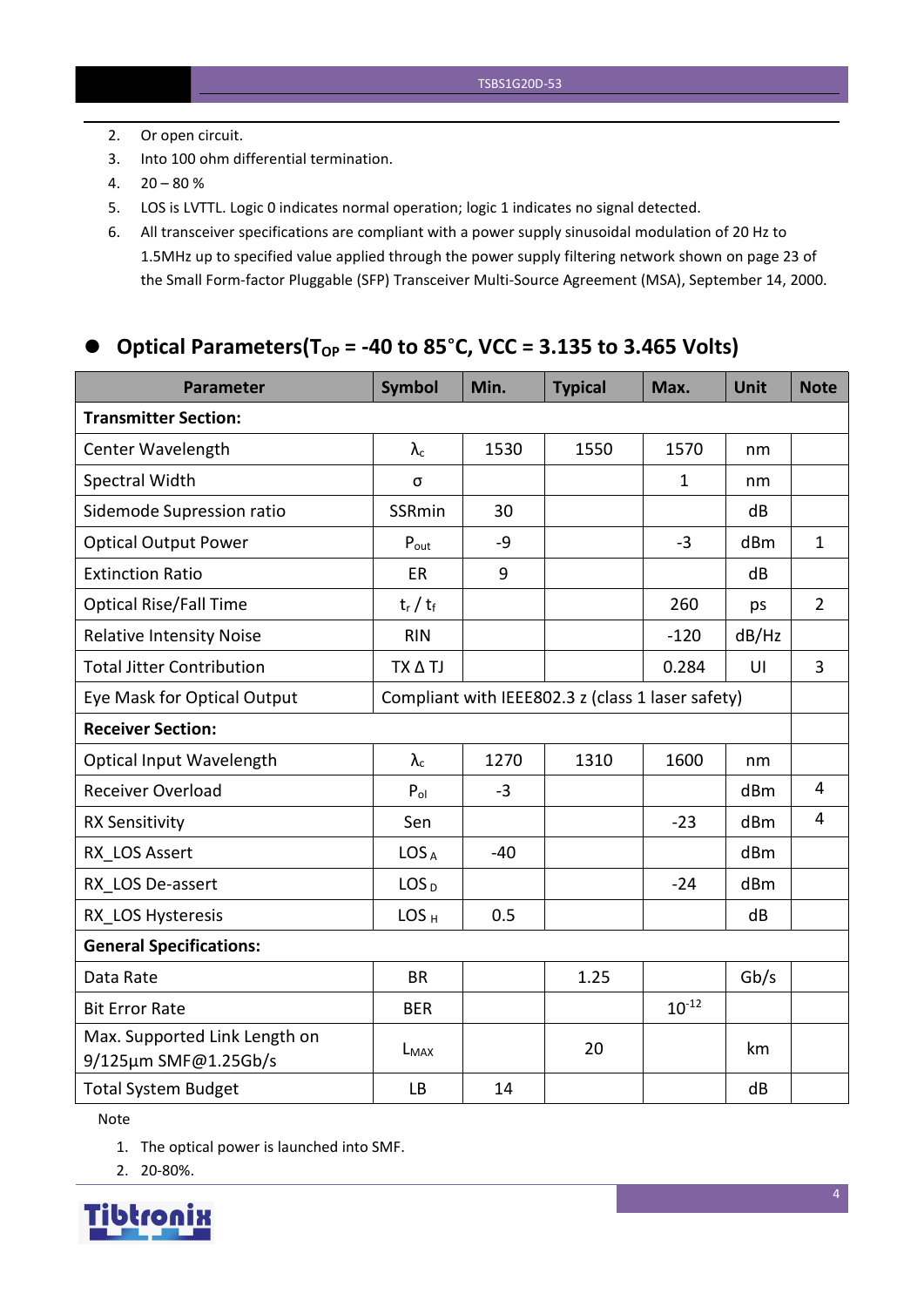- 2. Or open circuit.
- 3. Into 100 ohm differential termination.
- $4. \quad 20 80 \%$
- 5. LOS is LVTTL. Logic 0 indicates normal operation; logic 1 indicates no signal detected.
- 6. All transceiver specifications are compliant with a power supply sinusoidal modulation of 20 Hz to 1.5MHz up to specified value applied through the powersupply filtering network shown on page 23 of the Small Form-factor Pluggable (SFP) Transceiver Multi-Source Agreement (MSA), September 14, 2000.

## **Optical Parameters(TOP = -40 to 85**°**C, VCC = 3.135 to 3.465 Volts)**

| <b>Parameter</b>                                      | <b>Symbol</b>    | Min.  | <b>Typical</b>                                    | Max.         | <b>Unit</b>     | <b>Note</b>    |
|-------------------------------------------------------|------------------|-------|---------------------------------------------------|--------------|-----------------|----------------|
| <b>Transmitter Section:</b>                           |                  |       |                                                   |              |                 |                |
| Center Wavelength                                     | $\lambda_c$      | 1530  | 1550                                              | 1570         | nm              |                |
| Spectral Width                                        | σ                |       |                                                   | $\mathbf{1}$ | nm              |                |
| Sidemode Supression ratio                             | <b>SSRmin</b>    | 30    |                                                   |              | dB              |                |
| <b>Optical Output Power</b>                           | $P_{\text{out}}$ | $-9$  |                                                   | $-3$         | dBm             | $\mathbf{1}$   |
| <b>Extinction Ratio</b>                               | <b>ER</b>        | 9     |                                                   |              | dB              |                |
| <b>Optical Rise/Fall Time</b>                         | $t_r / t_f$      |       |                                                   | 260          | ps              | $\overline{2}$ |
| <b>Relative Intensity Noise</b>                       | <b>RIN</b>       |       |                                                   | $-120$       | dB/Hz           |                |
| <b>Total Jitter Contribution</b>                      | TX A TJ          |       |                                                   | 0.284        | UI              | $\overline{3}$ |
| Eye Mask for Optical Output                           |                  |       | Compliant with IEEE802.3 z (class 1 laser safety) |              |                 |                |
| <b>Receiver Section:</b>                              |                  |       |                                                   |              |                 |                |
| Optical Input Wavelength                              | $\lambda_c$      | 1270  | 1310                                              | 1600         | nm              |                |
| <b>Receiver Overload</b>                              | $P_{ol}$         | $-3$  |                                                   |              | dBm             | $\overline{4}$ |
| <b>RX Sensitivity</b>                                 | Sen              |       |                                                   | $-23$        | dB <sub>m</sub> | $\overline{4}$ |
| RX LOS Assert                                         | LOS <sub>A</sub> | $-40$ |                                                   |              | dBm             |                |
| RX LOS De-assert                                      | LOS <sub>D</sub> |       |                                                   | $-24$        | dB <sub>m</sub> |                |
| RX LOS Hysteresis                                     | LOS <sub>H</sub> | 0.5   |                                                   |              | dB              |                |
| <b>General Specifications:</b>                        |                  |       |                                                   |              |                 |                |
| Data Rate                                             | <b>BR</b>        |       | 1.25                                              |              | Gb/s            |                |
| <b>Bit Error Rate</b>                                 | <b>BER</b>       |       |                                                   | $10^{-12}$   |                 |                |
| Max. Supported Link Length on<br>9/125µm SMF@1.25Gb/s | $L_{MAX}$        |       | 20                                                |              | km              |                |
| <b>Total System Budget</b>                            | LB               | 14    |                                                   |              | dB              |                |

Note

1. The optical power is launched into SMF.

2. 20-80%.

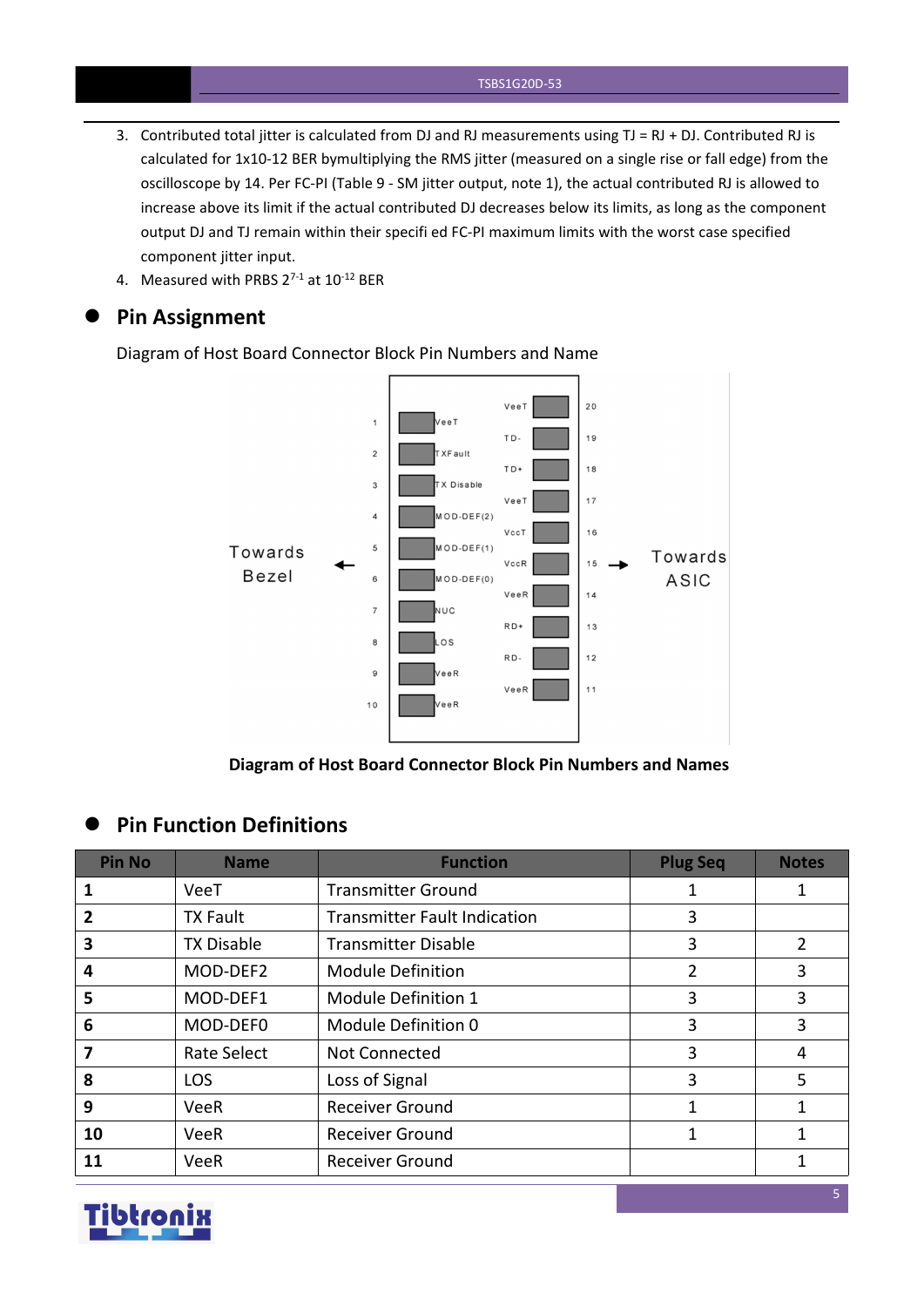- 3. Contributed total jitter is calculated from DJ and RJ measurements using  $TJ = RJ + DJ$ . Contributed RJ is calculated for 1x10-12 BER bymultiplying the RMS jitter (measured on a single rise or fall edge) from the oscilloscope by 14. Per FC-PI (Table 9 - SM jitter output, note 1), the actual contributed RJ is allowed to increase above its limit if the actual contributed DJ decreases below its limits, as long as the component output DJ and TJ remain within their specifi ed FC-PI maximum limits with the worst case specified component jitter input.
- 4. Measured with PRBS  $2^{7-1}$  at  $10^{-12}$  BER

#### **Pin Assignment**

Diagram of Host Board Connector Block Pin Numbers and Name



**Diagram of Host Board Connector Block Pin Numbers and Names**

#### **Pin Function Definitions**

| <b>Pin No</b>  | <b>Name</b>        | <b>Function</b>                     | <b>Plug Seq</b> | <b>Notes</b>   |
|----------------|--------------------|-------------------------------------|-----------------|----------------|
|                | VeeT               | <b>Transmitter Ground</b>           |                 |                |
| $\overline{2}$ | <b>TX Fault</b>    | <b>Transmitter Fault Indication</b> | 3               |                |
| 3              | <b>TX Disable</b>  | <b>Transmitter Disable</b>          | 3               | $\overline{2}$ |
| 4              | MOD-DEF2           | <b>Module Definition</b>            | $\overline{2}$  | 3              |
| 5              | MOD-DEF1           | Module Definition 1                 | 3               | 3              |
| 6              | MOD-DEF0           | Module Definition 0                 | 3               | 3              |
|                | <b>Rate Select</b> | Not Connected                       | 3               | 4              |
| 8              | <b>LOS</b>         | Loss of Signal                      | 3               | 5              |
| 9              | VeeR               | <b>Receiver Ground</b>              |                 |                |
| 10             | VeeR               | <b>Receiver Ground</b>              | 1               |                |
| 11             | VeeR               | <b>Receiver Ground</b>              |                 |                |

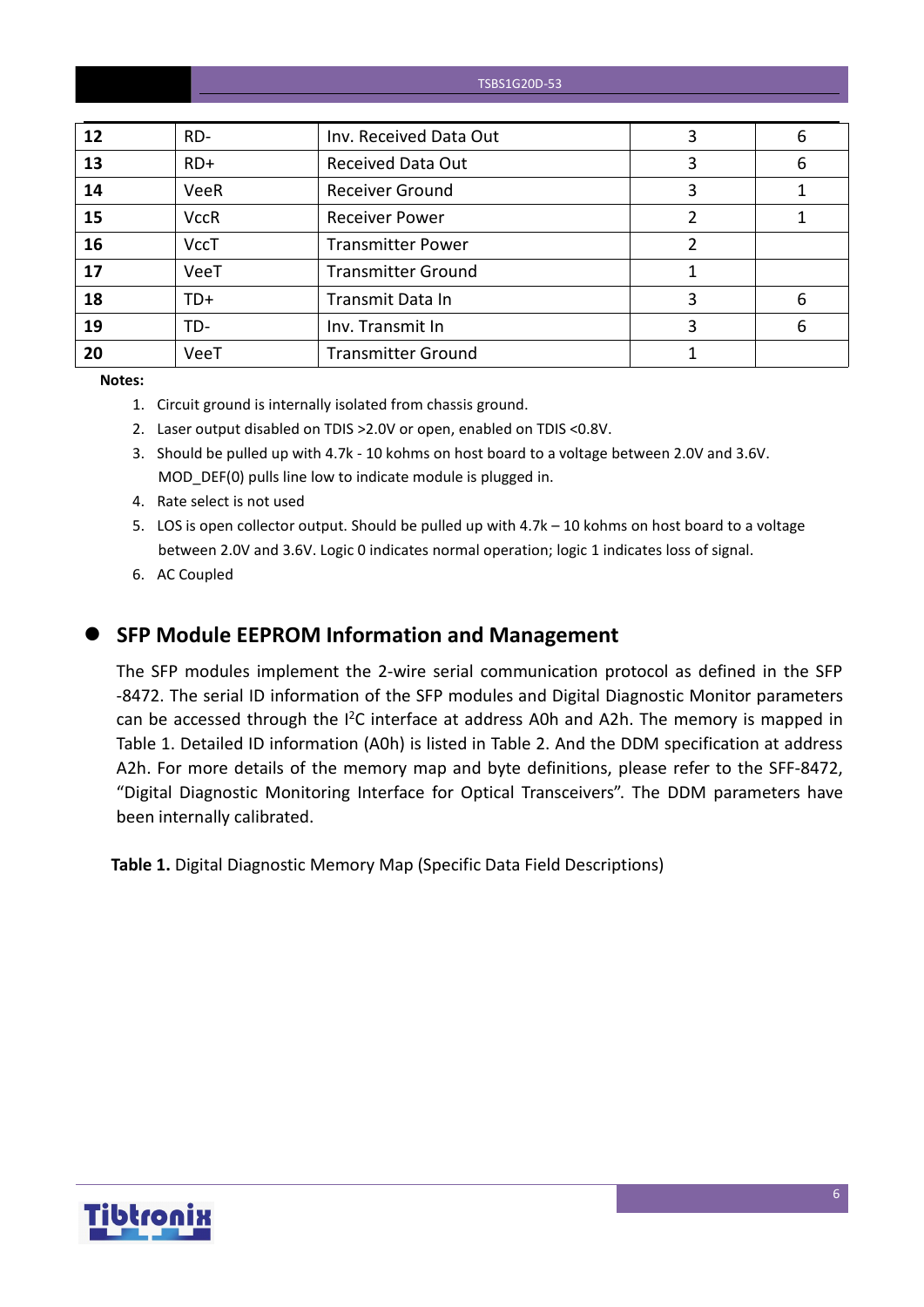| TSBS1G20D-53 |  |  |
|--------------|--|--|
|--------------|--|--|

| 12 | RD-         | Inv. Received Data Out    | 6 |
|----|-------------|---------------------------|---|
| 13 | $RD+$       | <b>Received Data Out</b>  | 6 |
| 14 | <b>VeeR</b> | <b>Receiver Ground</b>    |   |
| 15 | <b>VccR</b> | <b>Receiver Power</b>     |   |
| 16 | <b>VccT</b> | <b>Transmitter Power</b>  |   |
| 17 | VeeT        | <b>Transmitter Ground</b> |   |
| 18 | $TD+$       | Transmit Data In          | 6 |
| 19 | TD-         | Inv. Transmit In          | 6 |
| 20 | VeeT        | <b>Transmitter Ground</b> |   |
|    |             |                           |   |

**Notes:**

- 1. Circuit ground is internally isolated from chassis ground.
- 2. Laser output disabled on TDIS >2.0V or open, enabled on TDIS <0.8V.
- 3. Should be pulled up with 4.7k 10 kohms on host board to a voltage between 2.0V and 3.6V. MOD\_DEF(0) pulls line low to indicate module is plugged in.
- 4. Rate select is not used
- 5. LOS is open collector output. Should be pulled up with 4.7k 10 kohms on host board to a voltage between 2.0V and 3.6V. Logic 0 indicates normal operation; logic 1 indicates loss of signal.
- 6. AC Coupled
- 

#### **SFP Module EEPROM Information and Management**

The SFP modules implement the 2-wire serial communication protocol as defined in the SFP -8472. The serial ID information of the SFP modules and Digital Diagnostic Monitor parameters can be accessed through the I<sup>2</sup>C interface at address A0h and A2h. The memory is mapped in Table 1. Detailed ID information (A0h) is listed in Table 2. And the DDM specification at address A2h. For more details of the memory map and byte definitions, please refer to the SFF-8472, "Digital Diagnostic Monitoring Interface for Optical Transceivers". The DDM parameters have been internally calibrated.

**Table 1.** Digital Diagnostic Memory Map (Specific Data Field Descriptions)

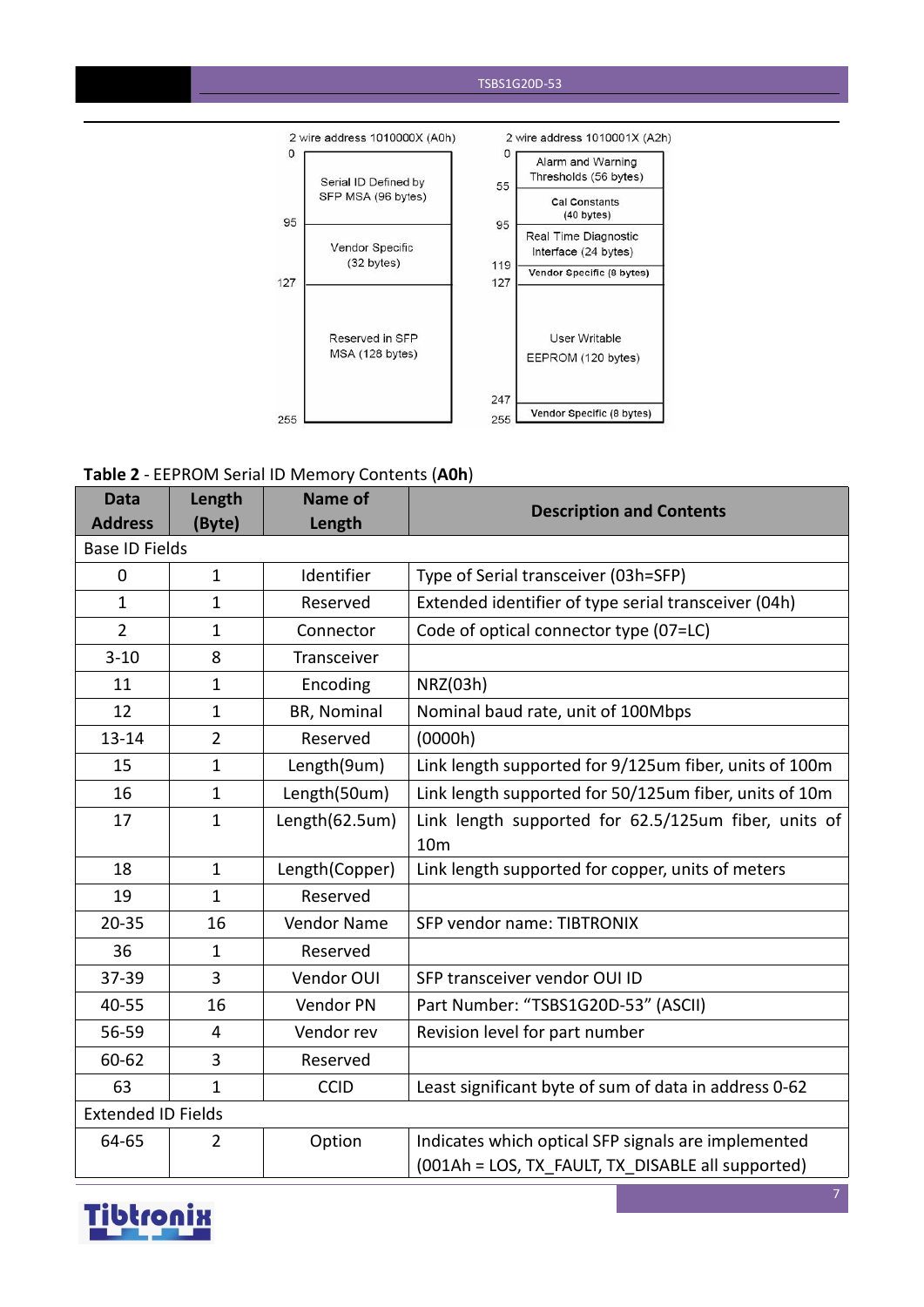#### TSBS1G20D-53



#### **Table 2** - EEPROM Serial ID Memory Contents (**A0h**)

| <b>Data</b>               | Length         | Name of        | <b>Description and Contents</b>                        |
|---------------------------|----------------|----------------|--------------------------------------------------------|
| <b>Address</b>            | (Byte)         | Length         |                                                        |
| <b>Base ID Fields</b>     |                |                |                                                        |
| $\mathbf 0$               | $\mathbf{1}$   | Identifier     | Type of Serial transceiver (03h=SFP)                   |
| $\mathbf{1}$              | $\mathbf{1}$   | Reserved       | Extended identifier of type serial transceiver (04h)   |
| $\overline{2}$            | 1              | Connector      | Code of optical connector type (07=LC)                 |
| $3 - 10$                  | 8              | Transceiver    |                                                        |
| 11                        | $\mathbf{1}$   | Encoding       | NRZ(03h)                                               |
| 12                        | $\mathbf{1}$   | BR, Nominal    | Nominal baud rate, unit of 100Mbps                     |
| $13 - 14$                 | $\overline{2}$ | Reserved       | (0000h)                                                |
| 15                        | $\mathbf{1}$   | Length(9um)    | Link length supported for 9/125um fiber, units of 100m |
| 16                        | $\mathbf{1}$   | Length(50um)   | Link length supported for 50/125um fiber, units of 10m |
| 17                        | $\mathbf{1}$   | Length(62.5um) | Link length supported for 62.5/125um fiber, units of   |
|                           |                |                | 10 <sub>m</sub>                                        |
| 18                        | $\mathbf{1}$   | Length(Copper) | Link length supported for copper, units of meters      |
| 19                        | $\mathbf{1}$   | Reserved       |                                                        |
| $20 - 35$                 | 16             | Vendor Name    | SFP vendor name: TIBTRONIX                             |
| 36                        | $\mathbf{1}$   | Reserved       |                                                        |
| 37-39                     | 3              | Vendor OUI     | SFP transceiver vendor OUI ID                          |
| 40-55                     | 16             | Vendor PN      | Part Number: "TSBS1G20D-53" (ASCII)                    |
| 56-59                     | $\overline{4}$ | Vendor rev     | Revision level for part number                         |
| 60-62                     | 3              | Reserved       |                                                        |
| 63                        | $\mathbf{1}$   | <b>CCID</b>    | Least significant byte of sum of data in address 0-62  |
| <b>Extended ID Fields</b> |                |                |                                                        |
| 64-65                     | $\overline{2}$ | Option         | Indicates which optical SFP signals are implemented    |
|                           |                |                | (001Ah = LOS, TX FAULT, TX DISABLE all supported)      |

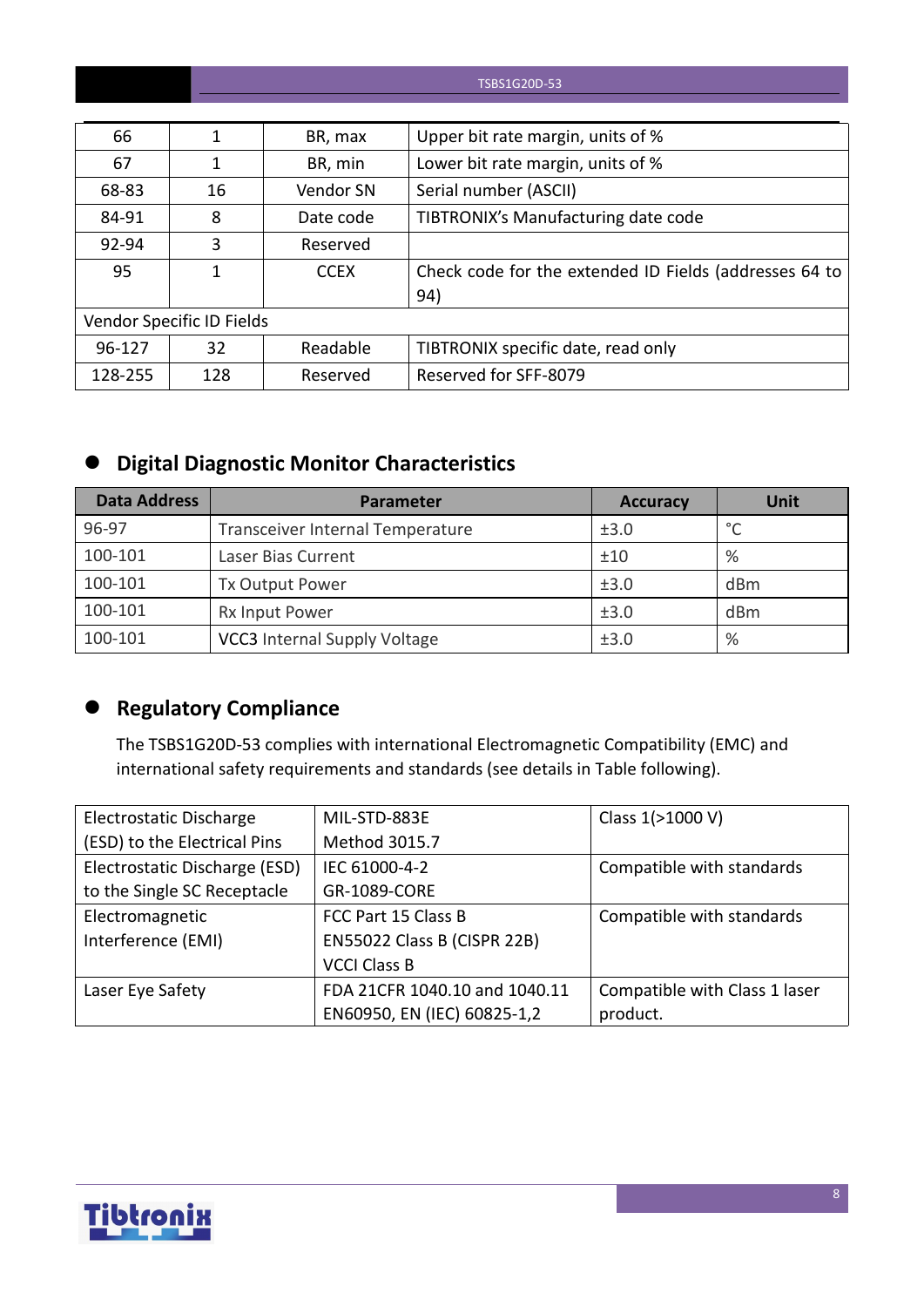#### TSBS1G20D-53

| 66      |                           | BR, max     | Upper bit rate margin, units of %                      |
|---------|---------------------------|-------------|--------------------------------------------------------|
| 67      |                           | BR, min     | Lower bit rate margin, units of %                      |
| 68-83   | 16                        | Vendor SN   | Serial number (ASCII)                                  |
| 84-91   | 8                         | Date code   | TIBTRONIX's Manufacturing date code                    |
| 92-94   | 3                         | Reserved    |                                                        |
| 95      |                           | <b>CCEX</b> | Check code for the extended ID Fields (addresses 64 to |
|         |                           |             | 94)                                                    |
|         | Vendor Specific ID Fields |             |                                                        |
| 96-127  | 32                        | Readable    | TIBTRONIX specific date, read only                     |
| 128-255 | 128                       | Reserved    | Reserved for SFF-8079                                  |

## **Digital Diagnostic Monitor Characteristics**

| <b>Data Address</b> | <b>Parameter</b>                    | <b>Accuracy</b> | Unit    |
|---------------------|-------------------------------------|-----------------|---------|
| 96-97               | Transceiver Internal Temperature    | ±3.0            | $\circ$ |
| 100-101             | Laser Bias Current                  | ±10             | %       |
| 100-101             | <b>Tx Output Power</b>              | ±3.0            | dBm     |
| 100-101             | Rx Input Power                      | ±3.0            | dBm     |
| 100-101             | <b>VCC3</b> Internal Supply Voltage | ±3.0            | %       |

## **Regulatory Compliance**

The TSBS1G20D-53 complies with international Electromagnetic Compatibility (EMC) and international safety requirements and standards (see details in Table following).

| Electrostatic Discharge       | MIL-STD-883E                  | Class 1(>1000 V)              |
|-------------------------------|-------------------------------|-------------------------------|
| (ESD) to the Electrical Pins  | Method 3015.7                 |                               |
| Electrostatic Discharge (ESD) | IEC 61000-4-2                 | Compatible with standards     |
| to the Single SC Receptacle   | GR-1089-CORE                  |                               |
| Electromagnetic               | FCC Part 15 Class B           | Compatible with standards     |
| Interference (EMI)            | EN55022 Class B (CISPR 22B)   |                               |
|                               | <b>VCCI Class B</b>           |                               |
| Laser Eye Safety              | FDA 21CFR 1040.10 and 1040.11 | Compatible with Class 1 laser |
|                               | EN60950, EN (IEC) 60825-1,2   | product.                      |

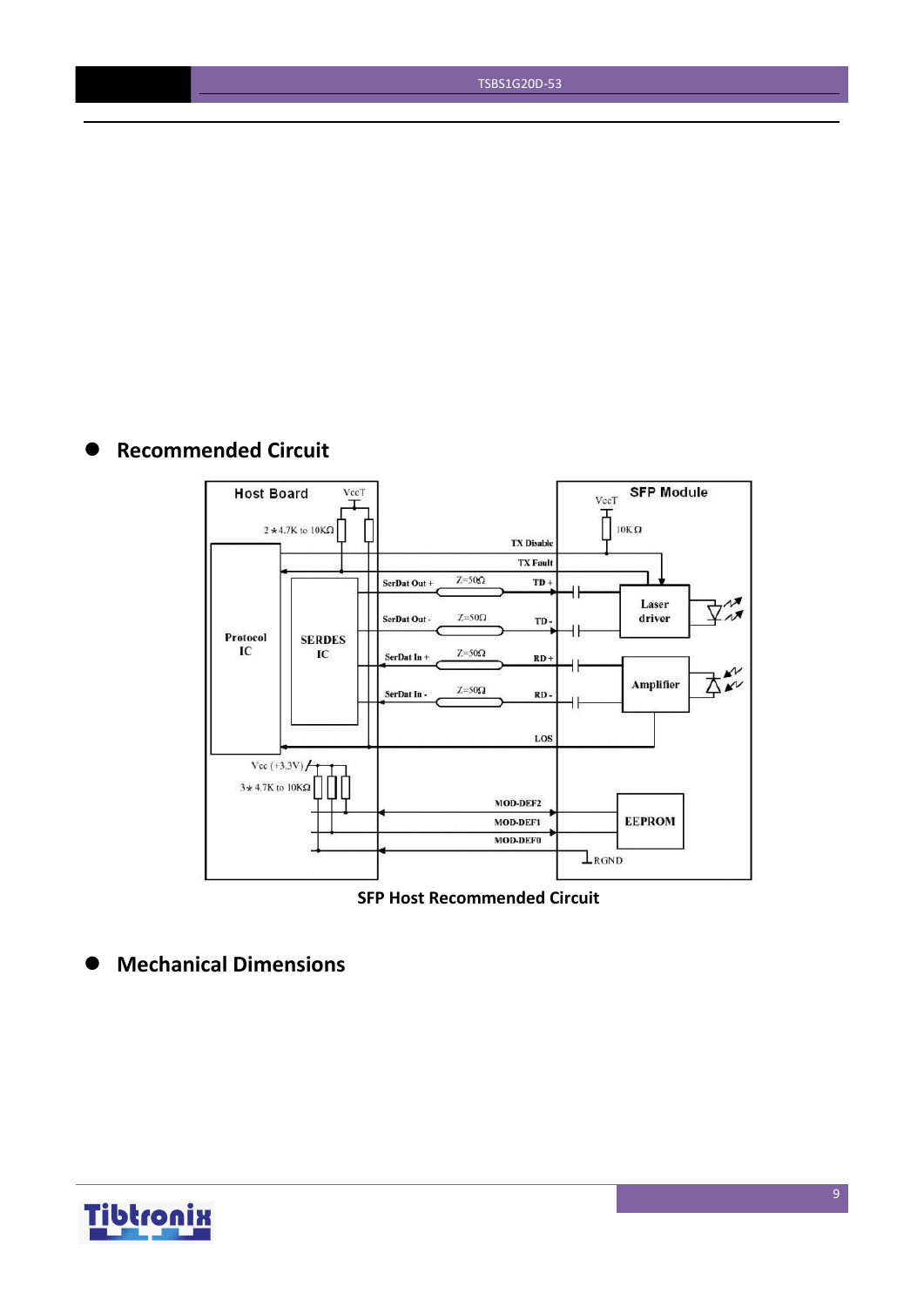TSBS1G20D-53

## **Recommended Circuit**



**SFP Host Recommended Circuit**

**Mechanical Dimensions**